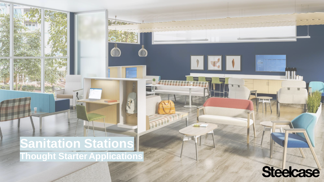# **Sanitation Stations**

**Thought Starter Applications**



 $|1|$ 

**Think**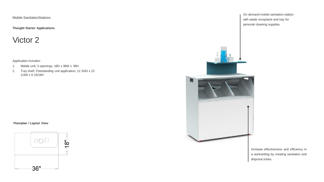**Thought Starter Applications**

### Victor 2

Application includes:

- 1. Mobile unit, 3 openings, 18D x 36W x 36H
- 2. Tray shelf, Freestanding unit application, 12 3/4D x 22 1/4W x 9 15/16H

#### **Floorplan / Layout View**





Increase effectiveness and efficiency in a worksetting by creating sanitation and disposal zones.

On demand mobile sanitation station with waste receptacle and tray for personal cleaning supplies.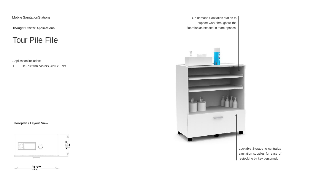**Thought Starter Applications**

Tour Pile File

Application includes:

1. File-Pile with casters, 42H x 37W

**Floorplan / Layout View**



On demand Sanitation station to support work throughout the floorplan as needed in team spaces.



Lockable Storage to centralize sanitation supplies for ease of restocking by key personnel.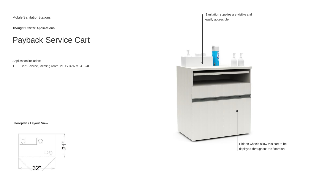**Thought Starter Applications**

### Payback Service Cart

Application includes:

1. Cart-Service, Meeting room, 21D x 32W x 34 3/4H

**Floorplan / Layout View**





deployed throughout the floorplan.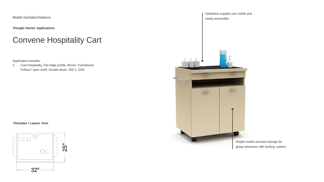**Thought Starter Applications**

### Convene Hospitality Cart

Application includes:

1. Cart-Hospitality, Flat edge profile, Wood, Transitional, Pullout / open shelf, Double doors, 25D x 32W

#### **Floorplan / Layout View**



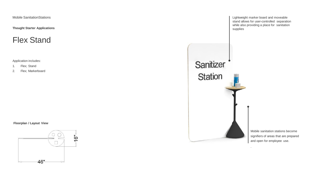**Thought Starter Applications**

#### Flex Stand

Application includes:

1. Flex; Stand

2. Flex; Markerboard

#### **Floorplan / Layout View**





Mobile sanitation stations become signifiers of areas that are prepared and open for employee use.

.

Lightweight marker board and moveable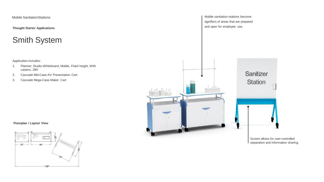**Thought Starter Applications**

### Smith System

Application includes:

- 1. Planner; Studio-Whiteboard, Mobile, Fixed height, With casters, 29H
- 2. Cascade Mid-Case-AV Presentation Cart
- 3. Cascade Mega-Case-Maker Cart

**Floorplan / Layout View**



Mobile sanitation stations become signifiers of areas that are prepared and open for employee use. Sanitizer **Station** 

Screen allows for user-controlled separation and information sharing.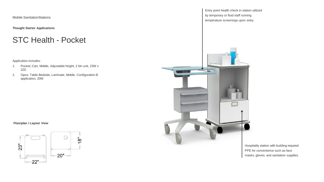**Thought Starter Applications**

#### STC Health - Pocket

Application includes:

- 1. Pocket; Cart, Mobile, Adjustable height, 2 bin unit, 23W x 22D
- 2. Opus; Table-Bedside, Laminate, Mobile, Configuration B application, 20W

**Floorplan / Layout View**



Entry point health check in station utilized by temporary or fluid staff running temperature screenings upon entry.



Hospitality station with building required PPE for convenience such as face masks, gloves, and sanitation supplies.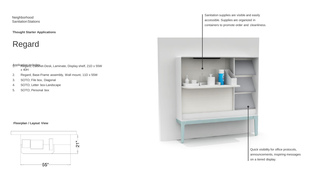**Thought Starter Applications**

### Regard

- Applicatiga inclust inter Desk, Laminate, Display shelf, 21D x 55W  $x 40H$
- 2. Regard; Base-Frame assembly, Wall mount, 11D x 55W
- 3. SOTO; File box, Diagonal
- 4. SOTO; Letter box-Landscape
- 5. SOTO; Personal box

#### **Floorplan / Layout View**



Sanitation supplies are visible and easily accessible. Supplies are organized in containers to promote order and cleanliness.



Quick visibility for office protocols, announcements, inspiring messages on a tiered display.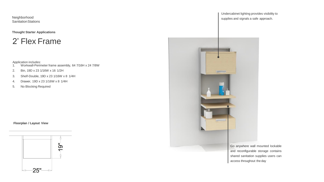**Thought Starter Applications**

#### 2' Flex Frame

- Application includes:<br>1. Workwall-Perimeter frame assembly, 64 7/16H x 24 7/8W
- 2. Bin, 19D x 23 1/16W x 16 1/2H
- 3. Shelf-Double, 19D x 23 1/16W x 8 1/4H
- 4. Drawer, 19D x 23 1/16W x 8 1/4H
- 5. No Blocking Required

#### **Floorplan / Layout View**



Undercabinet lighting provides visibility to supplies and signals a safe approach.



Go anywhere wall mounted lockable and reconfigurable storage contains shared sanitation supplies users can access throughout the day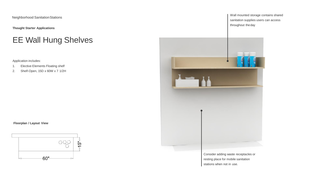**Thought Starter Applications**

### EE Wall Hung Shelves

Application includes:

- 1. Elective Elements Floating shelf
- 2. Shelf-Open, 15D x 60W x 7 1/2H

**Floorplan / Layout View**



Wall mounted storage contains shared sanitation supplies users can access throughout theday



Consider adding waste receptacles or resting place for mobile sanitation stations when not in use.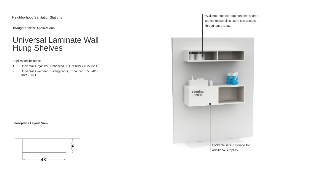**Thought Starter Applications**

### Universal Laminate Wall Hung Shelves

Application includes:

- 1. Universal; Organizer, Enhanced, 15D x 48W x 8 27/32H
- 2. Universal; Overhead, Sliding doors, Enhanced, 15 3/4D x 48W x 15H

**Floorplan / Layout View**



Wall mounted storage contains shared sanitation supplies users can access throughout theday.

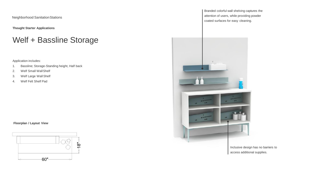**Thought Starter Applications**

### Welf + Bassline Storage

Application includes:

- 1. Bassline; Storage-Standing height, Half back
- 2. Welf Small WallShelf
- 3. Welf Large WallShelf
- 4. Welf Felt Shelf Pad

#### **Floorplan / Layout View**



Branded colorful wall shelving captures the attention of users, while providing powder coated surfaces for easy cleaning.



Inclusive design has no barriers to access additional supplies.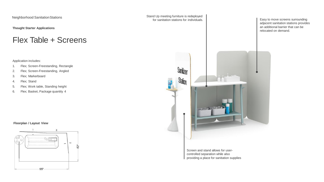**Thought Starter Applications**

#### Flex Table + Screens

Application includes:

- 1. Flex; Screen-Freestanding, Rectangle
- 2. Flex; Screen-Freestanding, Angled
- 3. Flex; Markerboard
- 4. Flex; Stand
- 5. Flex; Work table, Standing height
- 6. Flex; Basket, Package quantity 4

#### **Floorplan / Layout View**



Stand Up meeting furniture is redeployed for sanitation stations for individuals.



Screen and stand allows for usercontrolled separation while also providing a place for sanitation supplies

Easy to move screens surrounding adjacent sanitation stations provides an additional barrier that can be relocated on demand.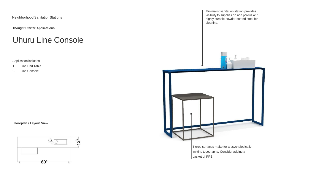**Thought Starter Applications**

#### Uhuru Line Console

Application includes:

1. Line End Table

2. Line Console

**Floorplan / Layout View**



Minimalist sanitation station provides visibility to supplies on non porous and highly durable powder coated steel for cleaning.

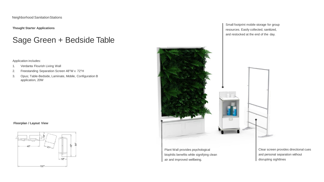**Thought Starter Applications**

### Sage Green + Bedside Table

Application includes:

- 1. Verdanta Flourish Living Wall
- 2. Freestanding Separation Screen 48"W x 72"H
- 3. Opus; Table-Bedside, Laminate, Mobile, Configuration B application, 20W





Plant Wall provides psychological biophilic benefits while signifying clean

air and improved wellbeing.

Small footprint mobile storage for group resources. Easily collected, sanitized, and restocked at the end of the day.

> Clear screen provides directional cues and personal separation without disrupting sightlines